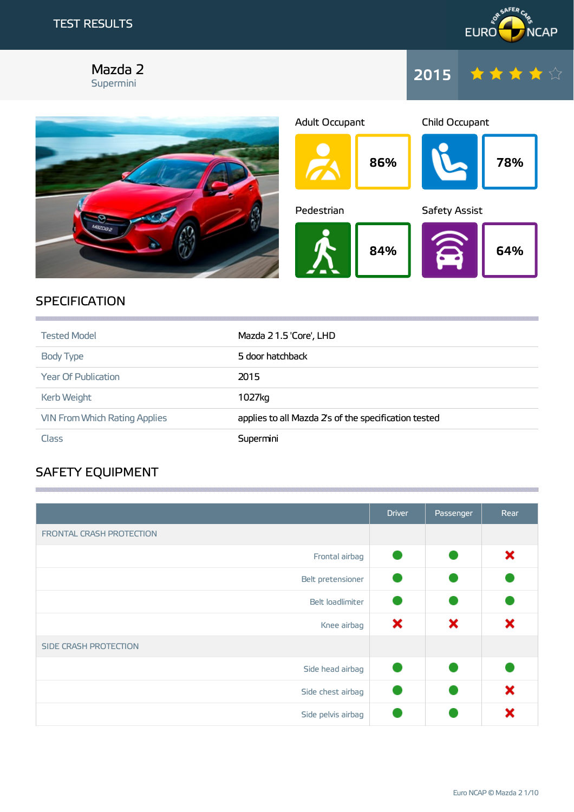

### Mazda 2 Supermini





## **SPECIFICATION**

| <b>Tested Model</b>                  | Mazda 21.5 'Core', LHD                               |
|--------------------------------------|------------------------------------------------------|
| Body Type                            | 5 door hatchback                                     |
| <b>Year Of Publication</b>           | 2015                                                 |
| Kerb Weight                          | 1027kg                                               |
| <b>VIN From Which Rating Applies</b> | applies to all Mazda 2's of the specification tested |
| <b>Class</b>                         | Supermini                                            |

**1999年10月19日,1月19日,1月19日,1月19日,1月19日,1月19日,1月19日,1月19日,1月19日,1月19日,1月19日,1月19日,1月1** 

**1999年1月19日,1999年1月19日,1999年1月1日,1999年1月1日,1999年1月1日,1999年1月1日,1999年1月1日,1999年1月** 

# SAFETY EQUIPMENT

|                          | <b>Driver</b> | Passenger | Rear |
|--------------------------|---------------|-----------|------|
| FRONTAL CRASH PROTECTION |               |           |      |
| Frontal airbag           |               |           | ×    |
| Belt pretensioner        |               |           |      |
| Belt loadlimiter         |               |           |      |
| Knee airbag              | ×             | ×         | ×    |
| SIDE CRASH PROTECTION    |               |           |      |
| Side head airbag         |               |           |      |
| Side chest airbag        |               |           | ×    |
| Side pelvis airbag       |               |           | x    |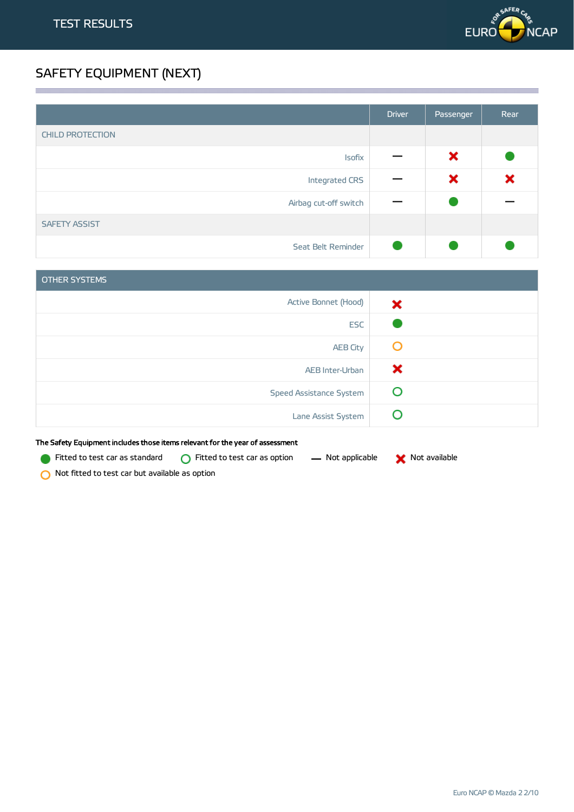

# SAFETY EQUIPMENT (NEXT)

|                         | <b>Driver</b> | Passenger | Rear |
|-------------------------|---------------|-----------|------|
| <b>CHILD PROTECTION</b> |               |           |      |
| <b>Isofix</b>           |               | ×         |      |
| Integrated CRS          |               | ×         | ×    |
| Airbag cut-off switch   |               |           |      |
| <b>SAFETY ASSIST</b>    |               |           |      |
| Seat Belt Reminder      |               |           |      |

| OTHER SYSTEMS           |   |
|-------------------------|---|
| Active Bonnet (Hood)    | × |
| <b>ESC</b>              |   |
| <b>AEB City</b>         | O |
| AEB Inter-Urban         | × |
| Speed Assistance System | O |
| Lane Assist System      |   |

The Safety Equipment includes those items relevant for the year of assessment

Fitted to test car as standard  $\bigcirc$  Fitted to test car as option  $\qquad$  Not applicable  $\qquad \bigtimes$  Not available

Not fitted to test car but available as option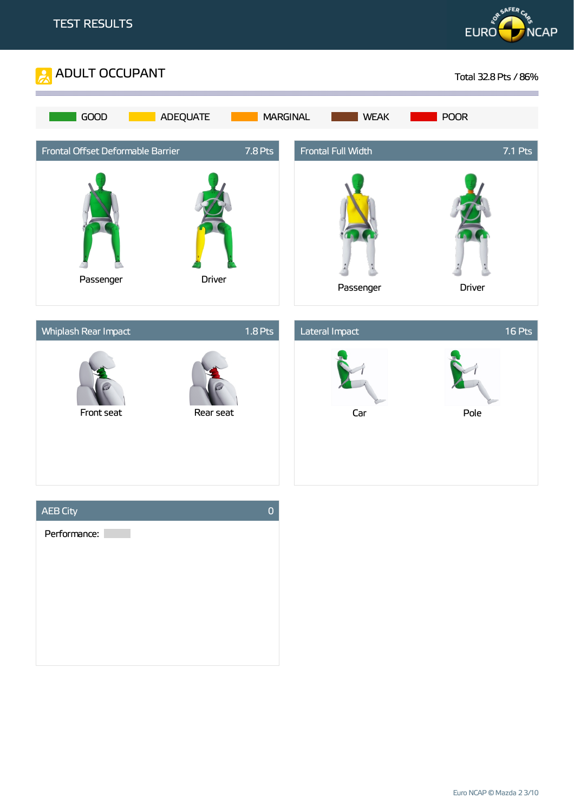



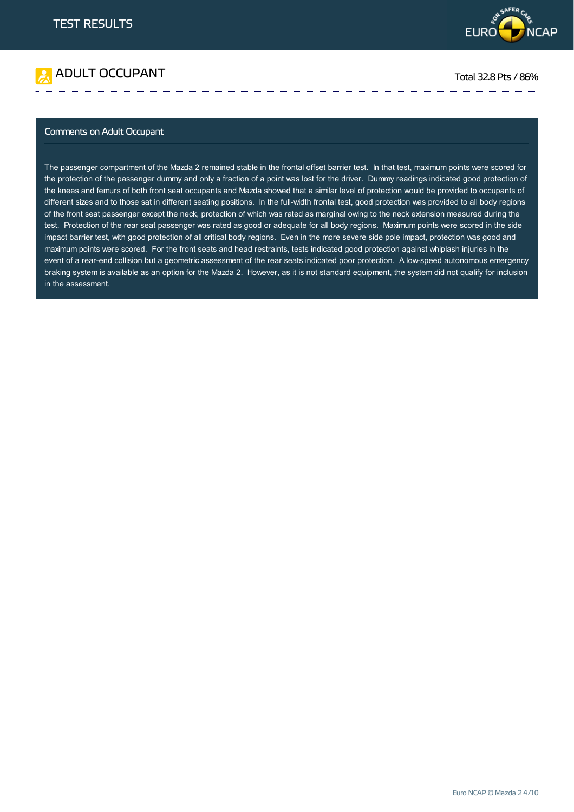



### Comments on Adult Occupant

The passenger compartment of the Mazda 2 remained stable in the frontal offset barrier test. In that test, maximum points were scored for the protection of the passenger dummy and only a fraction of a point was lost for the driver. Dummy readings indicated good protection of the knees and femurs of both front seat occupants and Mazda showed that a similar level of protection would be provided to occupants of different sizes and to those sat in different seating positions. In the full-width frontal test, good protection was provided to all body regions of the front seat passenger except the neck, protection of which was rated as marginal owing to the neck extension measured during the test. Protection of the rear seat passenger was rated as good or adequate for all body regions. Maximum points were scored in the side impact barrier test, with good protection of all critical body regions. Even in the more severe side pole impact, protection was good and maximum points were scored. For the front seats and head restraints, tests indicated good protection against whiplash injuries in the event of a rear-end collision but a geometric assessment of the rear seats indicated poor protection. A low-speed autonomous emergency braking system is available as an option for the Mazda 2. However, as it is not standard equipment, the system did not qualify for inclusion in the assessment.

**这个人的人都不能在这个人的人,就是这个人的人,就是这个人的人,就是这个人的人,就是这个人的人,就是这个人的人,就是这个人的人,就是这个人的人,**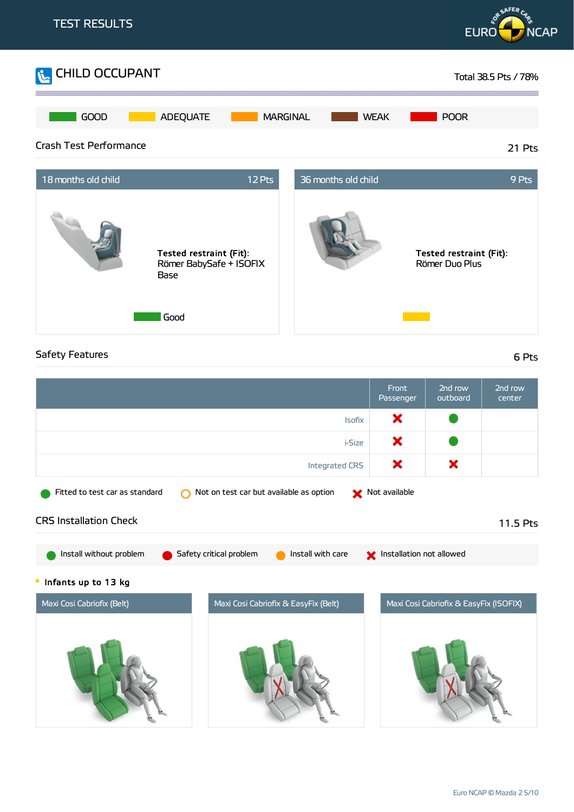

### Safety Features 6 Pts

|                                                                           | Front<br>Passenger       | 2nd row<br>outboard                    | 2nd row<br>center |
|---------------------------------------------------------------------------|--------------------------|----------------------------------------|-------------------|
| <b>Isofix</b>                                                             | ×                        |                                        |                   |
| <i>i-Size</i>                                                             | ×                        |                                        |                   |
| <b>Integrated CRS</b>                                                     | ×                        | ×                                      |                   |
| Fitted to test car as standard<br>Not on test car but available as option | X Not available          |                                        |                   |
| <b>CRS Installation Check</b>                                             |                          |                                        | 11.5 Pts          |
| Install without problem<br>Install with care<br>Safety critical problem   | Installation not allowed |                                        |                   |
| Infants up to 13 kg<br>Щ                                                  |                          |                                        |                   |
| Maxi Cosi Cabriofix (Belt)<br>Maxi Cosi Cabriofix & EasyFix (Belt)        |                          | Maxi Cosi Cabriofix & EasyFix (ISOFIX) |                   |
|                                                                           |                          |                                        |                   |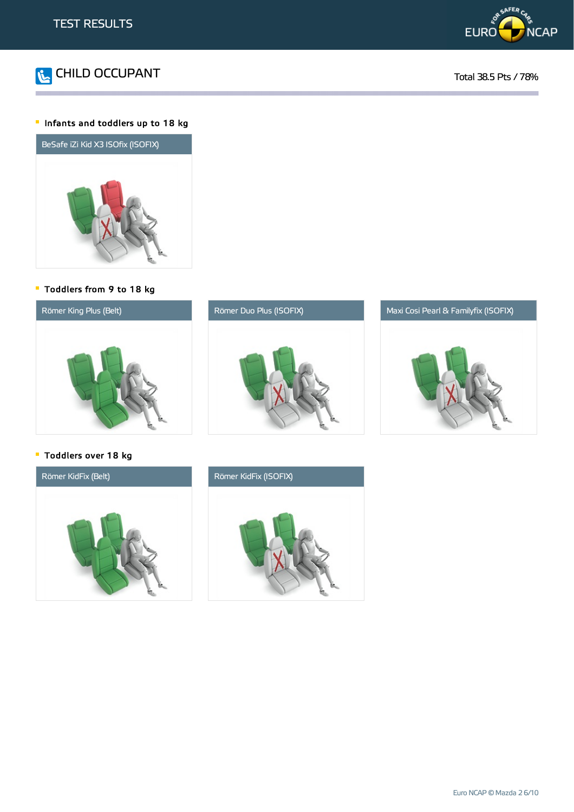



### Infants and toddlers up to 18 kg



Toddlers from 9 to 18 kg







Toddlers over 18 kg



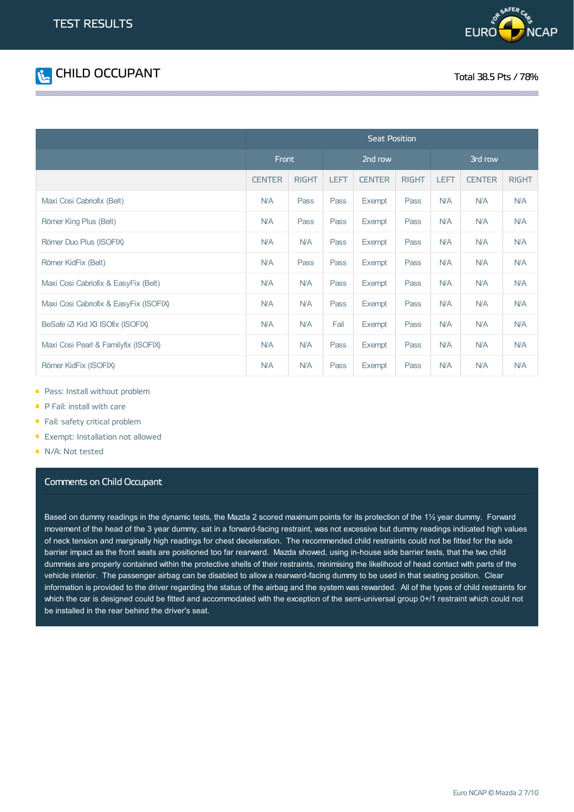



|                                        | <b>Seat Position</b> |              |             |               |              |             |               |              |
|----------------------------------------|----------------------|--------------|-------------|---------------|--------------|-------------|---------------|--------------|
|                                        | Front                |              | 2nd row     |               | 3rd row      |             |               |              |
|                                        | <b>CENTER</b>        | <b>RIGHT</b> | <b>LEFT</b> | <b>CENTER</b> | <b>RIGHT</b> | <b>LEFT</b> | <b>CENTER</b> | <b>RIGHT</b> |
| Maxi Cosi Cabriofix (Belt)             | N/A                  | Pass         | Pass        | Exempt        | Pass         | <b>N/A</b>  | <b>N/A</b>    | <b>N/A</b>   |
| Römer King Plus (Belt)                 | <b>N/A</b>           | Pass         | Pass        | <b>Exempt</b> | Pass         | <b>N/A</b>  | <b>N/A</b>    | <b>N/A</b>   |
| Römer Duo Plus (ISOFIX)                | <b>N/A</b>           | <b>N/A</b>   | Pass        | Exempt        | Pass         | <b>N/A</b>  | <b>N/A</b>    | <b>N/A</b>   |
| Römer KidFix (Belt)                    | <b>N/A</b>           | Pass         | Pass        | Exempt        | Pass         | <b>N/A</b>  | <b>N/A</b>    | <b>N/A</b>   |
| Maxi Cosi Cabriofix & EasyFix (Belt)   | <b>N/A</b>           | <b>N/A</b>   | Pass        | Exempt        | Pass         | <b>N/A</b>  | <b>N/A</b>    | <b>N/A</b>   |
| Maxi Cosi Cabriofix & EasyFix (ISOFIX) | <b>N/A</b>           | <b>N/A</b>   | Pass        | Exempt        | Pass         | <b>N/A</b>  | <b>N/A</b>    | <b>N/A</b>   |
| BeSafe iZi Kid X3 ISOfix (ISOFIX)      | N/A                  | <b>N/A</b>   | Fail        | Exempt        | Pass         | <b>N/A</b>  | <b>N/A</b>    | <b>N/A</b>   |
| Maxi Cosi Pearl & Familyfix (ISOFIX)   | N/A                  | <b>N/A</b>   | Pass        | Exempt        | Pass         | <b>N/A</b>  | <b>N/A</b>    | <b>N/A</b>   |
| Römer KidFix (ISOFIX)                  | N/A                  | <b>N/A</b>   | Pass        | Exempt        | Pass         | <b>N/A</b>  | <b>N/A</b>    | <b>N/A</b>   |

- **Pass: Install without problem**
- P Fail: install with care
- Fail: safety critical problem
- **Exempt: Installation not allowed**
- N/A: Not tested

### Comments on Child Occupant

Based on dummy readings in the dynamic tests, the Mazda 2 scored maximum points for its protection of the 1½ year dummy. Forward movement of the head of the 3 year dummy, sat in a forward-facing restraint, was not excessive but dummy readings indicated high values of neck tension and marginally high readings for chest deceleration. The recommended child restraints could not be fitted for the side barrier impact as the front seats are positioned too far rearward. Mazda showed, using in-house side barrier tests, that the two child dummies are properly contained within the protective shells of their restraints, minimising the likelihood of head contact with parts of the vehicle interior. The passenger airbag can be disabled to allow a rearward-facing dummy to be used in that seating position. Clear information is provided to the driver regarding the status of the airbag and the system was rewarded. All of the types of child restraints for which the car is designed could be fitted and accommodated with the exception of the semi-universal group 0+/1 restraint which could not be installed in the rear behind the driver's seat.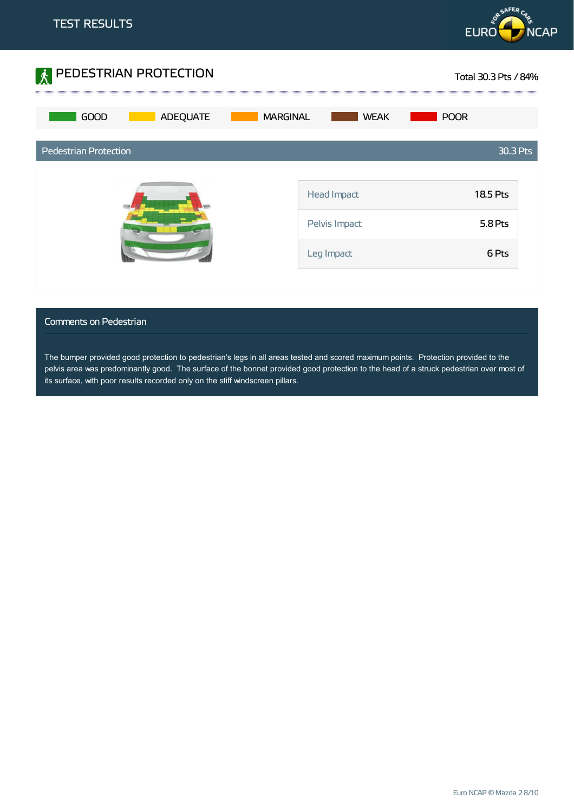



### Comments on Pedestrian

The bumper provided good protection to pedestrian's legs in all areas tested and scored maximum points. Protection provided to the pelvis area was predominantly good. The surface of the bonnet provided good protection to the head of a struck pedestrian over most of its surface, with poor results recorded only on the stiff windscreen pillars.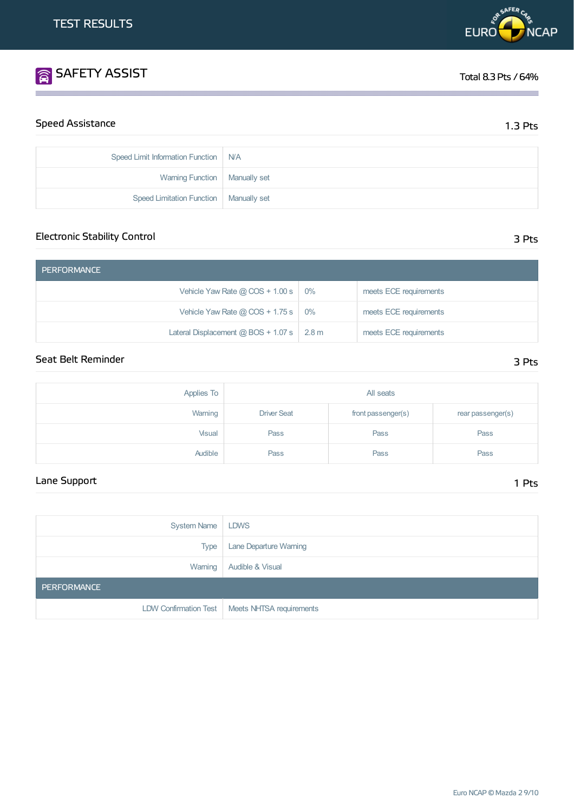| System Name   LDWS |                                                  |
|--------------------|--------------------------------------------------|
| Type               | <b>Lane Departure Warning</b>                    |
|                    | Warning   Audible & Visual                       |
| <b>PERFORMANCE</b> |                                                  |
|                    | LDW Confirmation Test   Meets NHTSA requirements |

## Speed Assistance 2.5 Pts

| Speed Limit Information Function   N/A   |  |
|------------------------------------------|--|
| Warning Function   Manually set          |  |
| Speed Limitation Function   Manually set |  |

**1999年,我们的人们也不能在这里的人们,我们也不能在这里的人们,我们也不能在这里的人们,我们也不能在这里的人们,我们也不能在这里的人们**,我们也不能在这里的人们

| <b>PERFORMANCE</b>                                |                        |
|---------------------------------------------------|------------------------|
| Vehicle Yaw Rate $@$ COS + 1.00 s $ $ 0%          | meets ECE requirements |
| Vehicle Yaw Rate @ COS + 1.75 s $\vert$ 0%        | meets ECE requirements |
| Lateral Displacement @ BOS + 1.07 s $\vert$ 2.8 m | meets ECE requirements |

## Seat Belt Reminder 3 Pts

| Applies To | All seats          |                   |      |  |
|------------|--------------------|-------------------|------|--|
| Warning    | <b>Driver Seat</b> | rear passenger(s) |      |  |
| Visual     | Pass               | Pass              |      |  |
| Audible    | Pass               | Pass              | Pass |  |

## Lane Support 1 Pts

Electronic Stability Control 3 Pts

# **SAFETY ASSIST** Total 8.3 Pts / 64%

**EURO** 

DR SAFER CA

**NCAP**